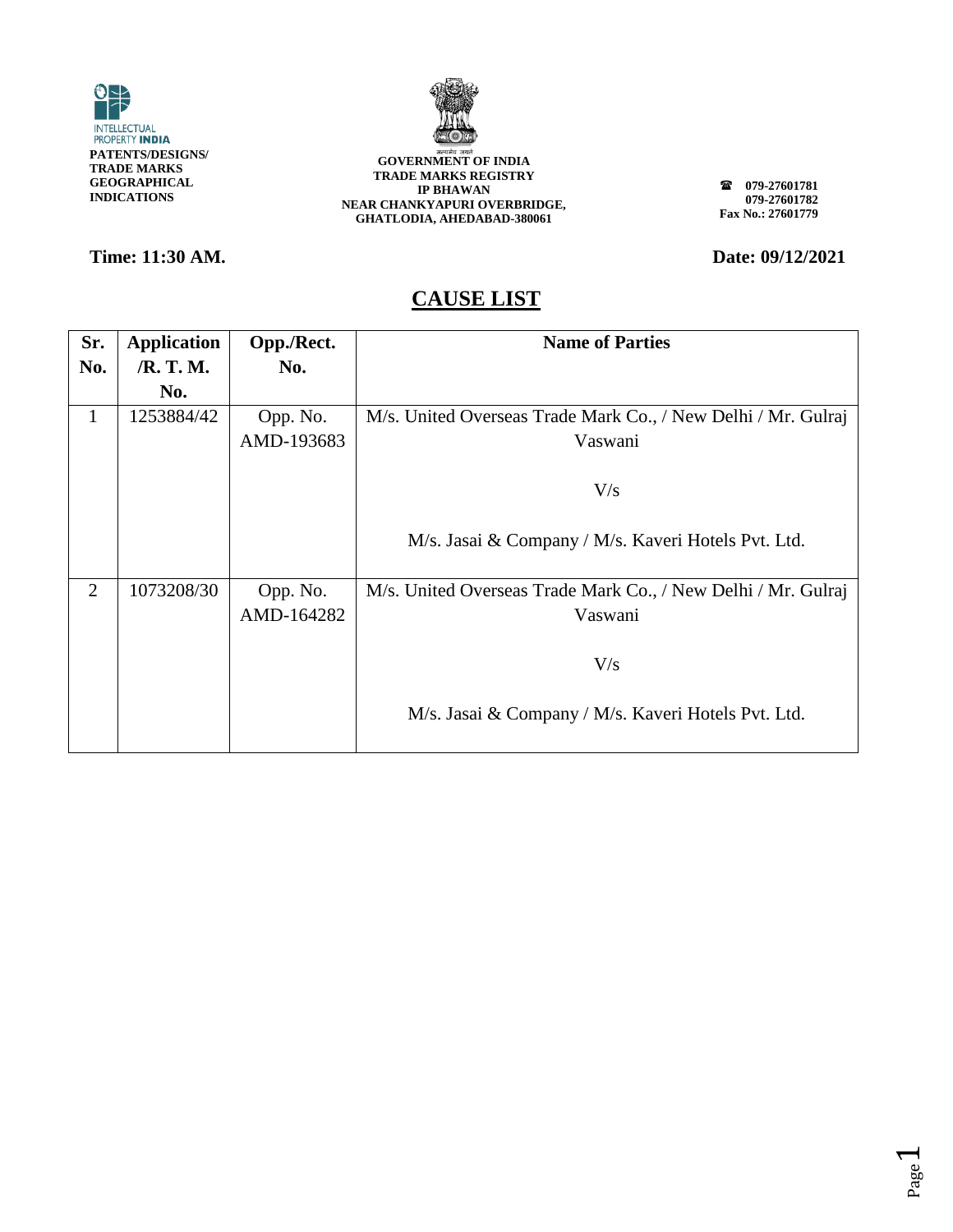



**079-27601781 079-27601782 Fax No.: 27601779**

### **Time: 11:30 AM. Date: 09/12/2021**

| Sr.            | <b>Application</b> | Opp./Rect. | <b>Name of Parties</b>                                        |
|----------------|--------------------|------------|---------------------------------------------------------------|
| No.            | /R. T. M.          | No.        |                                                               |
|                | No.                |            |                                                               |
| 1              | 1253884/42         | Opp. No.   | M/s. United Overseas Trade Mark Co., / New Delhi / Mr. Gulraj |
|                |                    | AMD-193683 | Vaswani                                                       |
|                |                    |            |                                                               |
|                |                    |            | V/s                                                           |
|                |                    |            |                                                               |
|                |                    |            | M/s. Jasai & Company / M/s. Kaveri Hotels Pvt. Ltd.           |
| $\overline{2}$ | 1073208/30         | Opp. No.   | M/s. United Overseas Trade Mark Co., / New Delhi / Mr. Gulraj |
|                |                    | AMD-164282 | Vaswani                                                       |
|                |                    |            |                                                               |
|                |                    |            | V/s                                                           |
|                |                    |            |                                                               |
|                |                    |            | M/s. Jasai & Company / M/s. Kaveri Hotels Pvt. Ltd.           |
|                |                    |            |                                                               |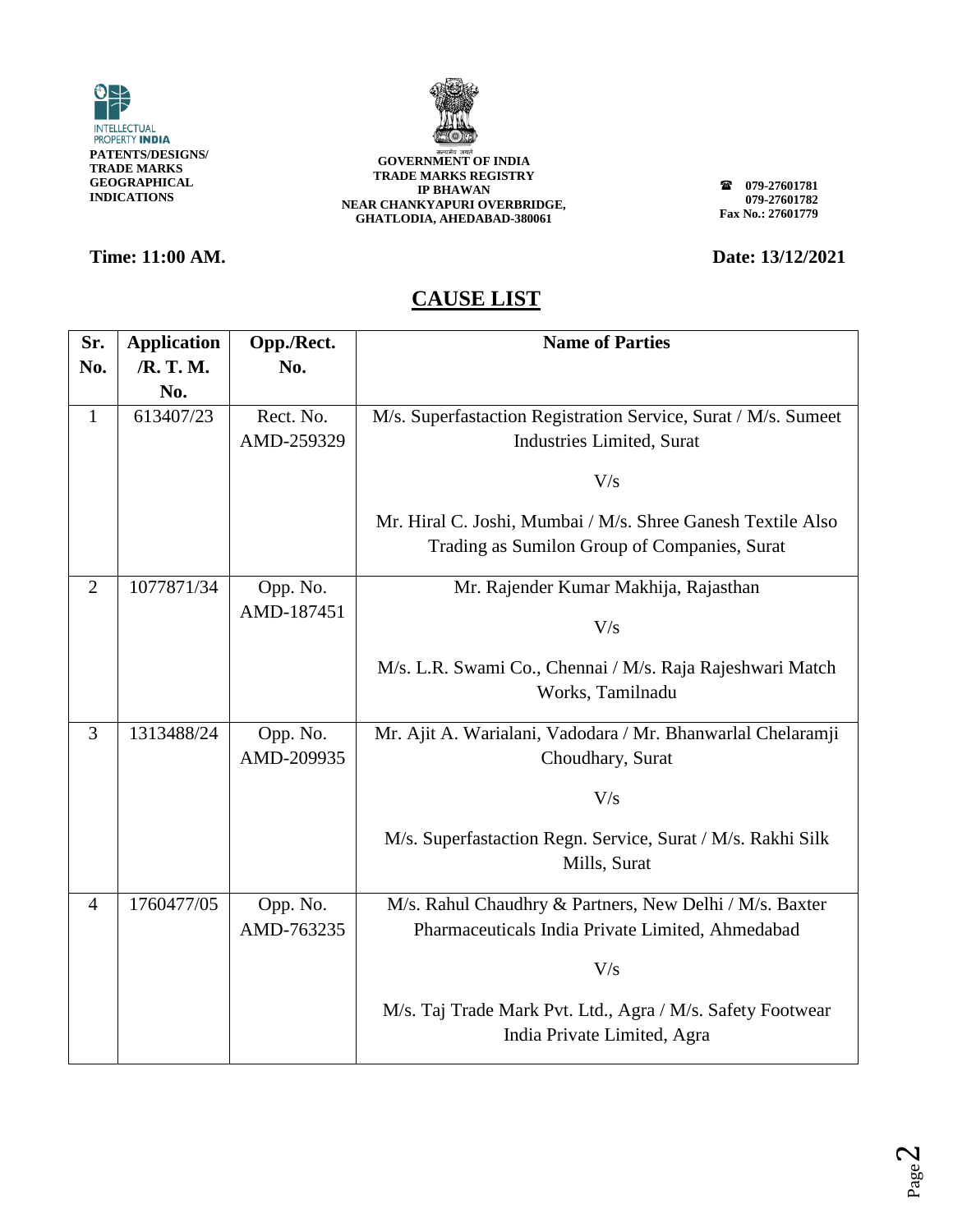



### **Time: 11:00 AM. Date: 13/12/2021**

**079-27601781 079-27601782 Fax No.: 27601779**

| Sr.            | <b>Application</b> | Opp./Rect. | <b>Name of Parties</b>                                                                    |
|----------------|--------------------|------------|-------------------------------------------------------------------------------------------|
| No.            | /R. T. M.          | No.        |                                                                                           |
|                | No.                |            |                                                                                           |
| $\mathbf{1}$   | 613407/23          | Rect. No.  | M/s. Superfastaction Registration Service, Surat / M/s. Sumeet                            |
|                |                    | AMD-259329 | <b>Industries Limited, Surat</b>                                                          |
|                |                    |            | V/s                                                                                       |
|                |                    |            | Mr. Hiral C. Joshi, Mumbai / M/s. Shree Ganesh Textile Also                               |
|                |                    |            | Trading as Sumilon Group of Companies, Surat                                              |
| $\overline{2}$ | 1077871/34         | Opp. No.   | Mr. Rajender Kumar Makhija, Rajasthan                                                     |
|                |                    | AMD-187451 | V/s                                                                                       |
|                |                    |            | M/s. L.R. Swami Co., Chennai / M/s. Raja Rajeshwari Match<br>Works, Tamilnadu             |
| $\overline{3}$ | 1313488/24         | Opp. No.   | Mr. Ajit A. Warialani, Vadodara / Mr. Bhanwarlal Chelaramji                               |
|                |                    | AMD-209935 | Choudhary, Surat                                                                          |
|                |                    |            | V/s                                                                                       |
|                |                    |            | M/s. Superfastaction Regn. Service, Surat / M/s. Rakhi Silk<br>Mills, Surat               |
| $\overline{4}$ | 1760477/05         | Opp. No.   | M/s. Rahul Chaudhry & Partners, New Delhi / M/s. Baxter                                   |
|                |                    | AMD-763235 | Pharmaceuticals India Private Limited, Ahmedabad                                          |
|                |                    |            | V/s                                                                                       |
|                |                    |            | M/s. Taj Trade Mark Pvt. Ltd., Agra / M/s. Safety Footwear<br>India Private Limited, Agra |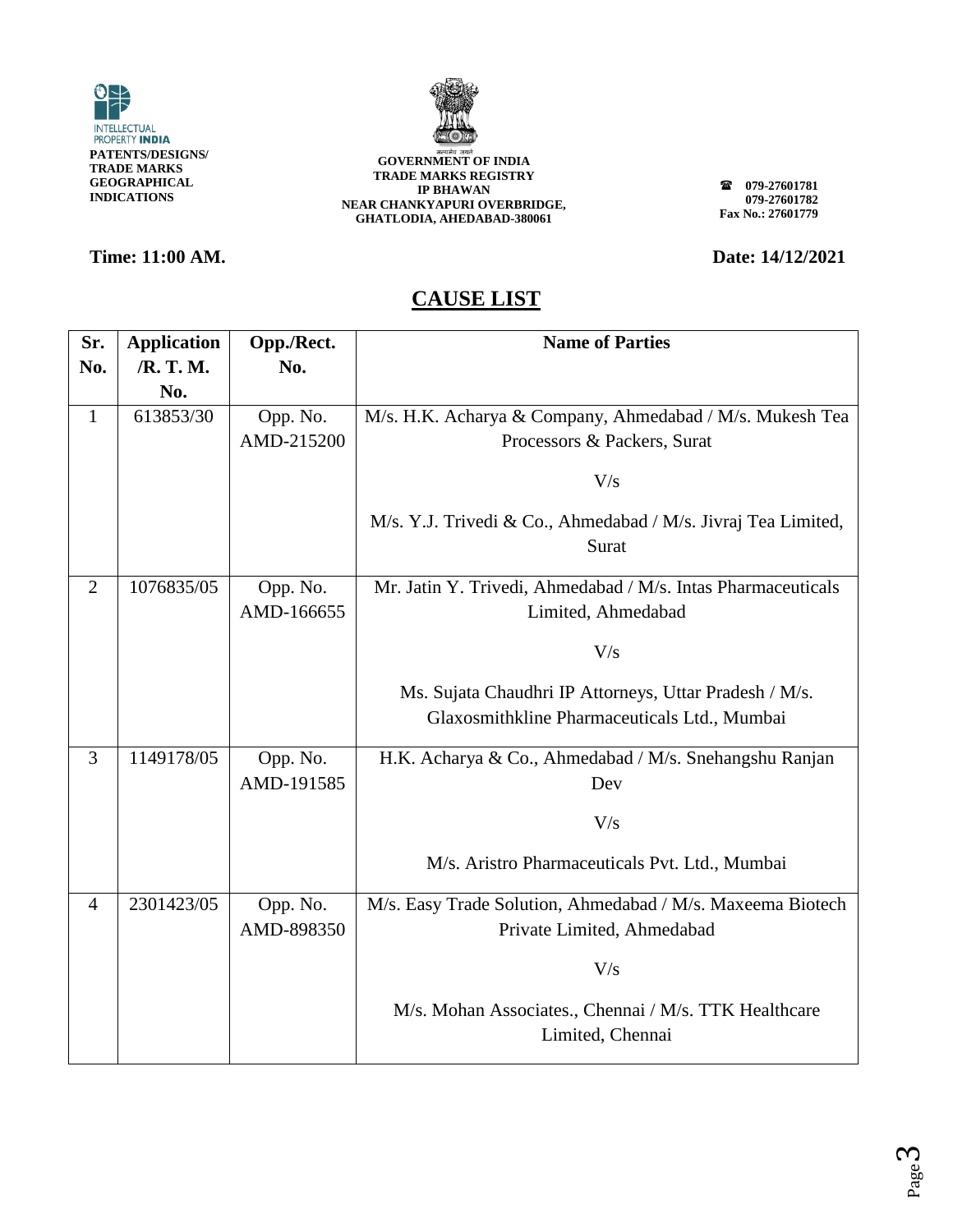



### **Time: 11:00 AM. Date: 14/12/2021**

**079-27601781 079-27601782 Fax No.: 27601779**

| Sr.            | <b>Application</b> | Opp./Rect. | <b>Name of Parties</b>                                                    |
|----------------|--------------------|------------|---------------------------------------------------------------------------|
| No.            | /R. T. M.          | No.        |                                                                           |
|                | No.                |            |                                                                           |
| $\mathbf{1}$   | 613853/30          | Opp. No.   | M/s. H.K. Acharya & Company, Ahmedabad / M/s. Mukesh Tea                  |
|                |                    | AMD-215200 | Processors & Packers, Surat                                               |
|                |                    |            | V/s                                                                       |
|                |                    |            | M/s. Y.J. Trivedi & Co., Ahmedabad / M/s. Jivraj Tea Limited,<br>Surat    |
| $\overline{2}$ | 1076835/05         | Opp. No.   | Mr. Jatin Y. Trivedi, Ahmedabad / M/s. Intas Pharmaceuticals              |
|                |                    | AMD-166655 | Limited, Ahmedabad                                                        |
|                |                    |            | V/s                                                                       |
|                |                    |            |                                                                           |
|                |                    |            | Ms. Sujata Chaudhri IP Attorneys, Uttar Pradesh / M/s.                    |
|                |                    |            | Glaxosmithkline Pharmaceuticals Ltd., Mumbai                              |
| 3              | 1149178/05         | Opp. No.   | H.K. Acharya & Co., Ahmedabad / M/s. Snehangshu Ranjan                    |
|                |                    | AMD-191585 | Dev                                                                       |
|                |                    |            | V/s                                                                       |
|                |                    |            | M/s. Aristro Pharmaceuticals Pvt. Ltd., Mumbai                            |
| $\overline{4}$ | 2301423/05         | Opp. No.   | M/s. Easy Trade Solution, Ahmedabad / M/s. Maxeema Biotech                |
|                |                    | AMD-898350 | Private Limited, Ahmedabad                                                |
|                |                    |            | V/s                                                                       |
|                |                    |            | M/s. Mohan Associates., Chennai / M/s. TTK Healthcare<br>Limited, Chennai |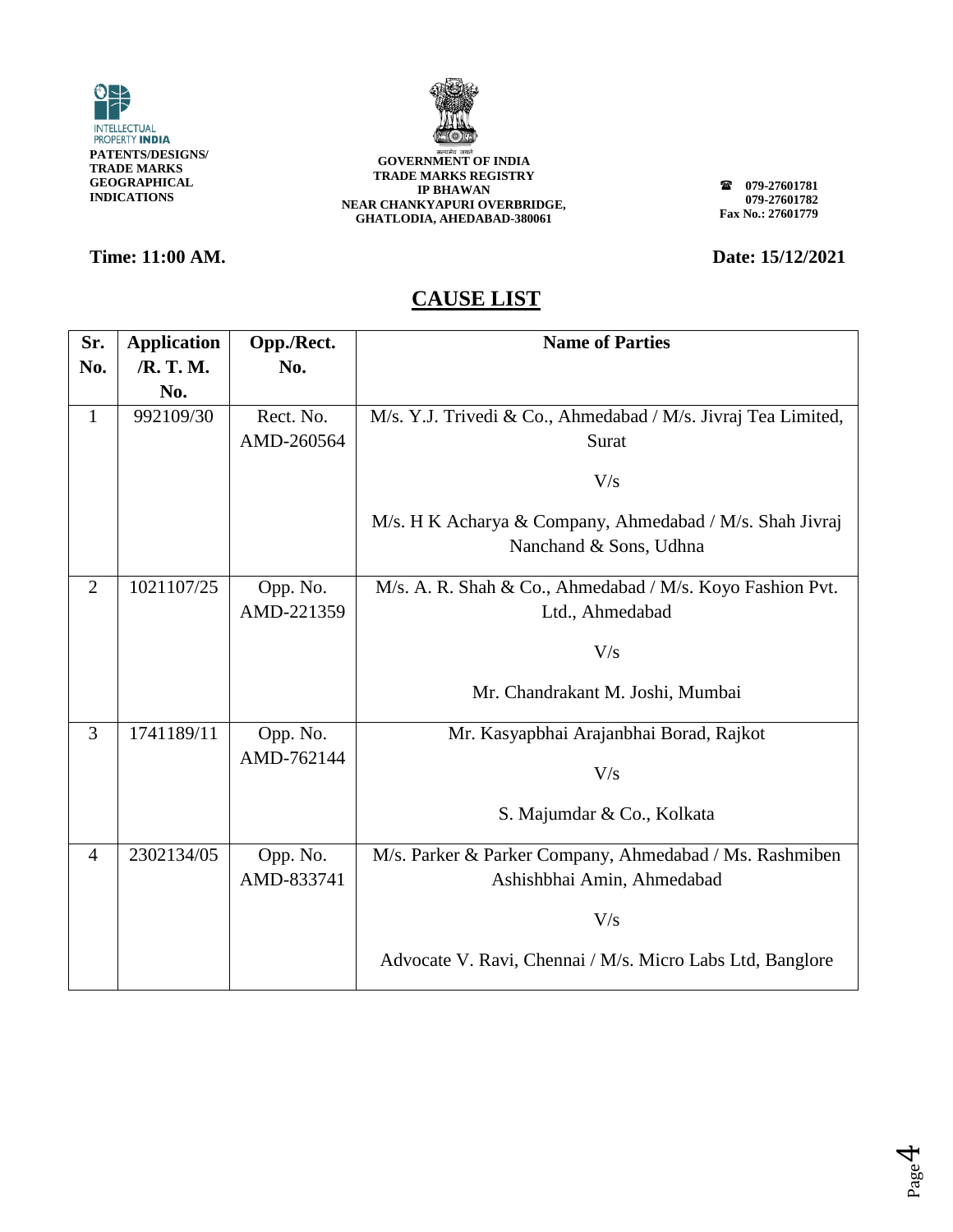



**079-27601781 079-27601782 Fax No.: 27601779**

**Time: 11:00 AM. Date: 15/12/2021** 

| Sr.            | <b>Application</b> | Opp./Rect.             | <b>Name of Parties</b>                                                             |
|----------------|--------------------|------------------------|------------------------------------------------------------------------------------|
| No.            | /R. T. M.          | No.                    |                                                                                    |
|                | No.                |                        |                                                                                    |
| $\mathbf{1}$   | 992109/30          | Rect. No.              | M/s. Y.J. Trivedi & Co., Ahmedabad / M/s. Jivraj Tea Limited,                      |
|                |                    | AMD-260564             | Surat                                                                              |
|                |                    |                        | V/s                                                                                |
|                |                    |                        | M/s. H K Acharya & Company, Ahmedabad / M/s. Shah Jivraj<br>Nanchand & Sons, Udhna |
| $\overline{2}$ | 1021107/25         | Opp. No.               | M/s. A. R. Shah & Co., Ahmedabad / M/s. Koyo Fashion Pvt.                          |
|                |                    | AMD-221359             | Ltd., Ahmedabad                                                                    |
|                |                    |                        | V/s                                                                                |
|                |                    |                        |                                                                                    |
|                |                    |                        | Mr. Chandrakant M. Joshi, Mumbai                                                   |
| 3              | 1741189/11         | Opp. No.               | Mr. Kasyapbhai Arajanbhai Borad, Rajkot                                            |
|                |                    | AMD-762144             | V/s                                                                                |
|                |                    |                        | S. Majumdar & Co., Kolkata                                                         |
| $\overline{4}$ | 2302134/05         | Opp. No.<br>AMD-833741 | M/s. Parker & Parker Company, Ahmedabad / Ms. Rashmiben                            |
|                |                    |                        | Ashishbhai Amin, Ahmedabad                                                         |
|                |                    |                        | V/s                                                                                |
|                |                    |                        | Advocate V. Ravi, Chennai / M/s. Micro Labs Ltd, Banglore                          |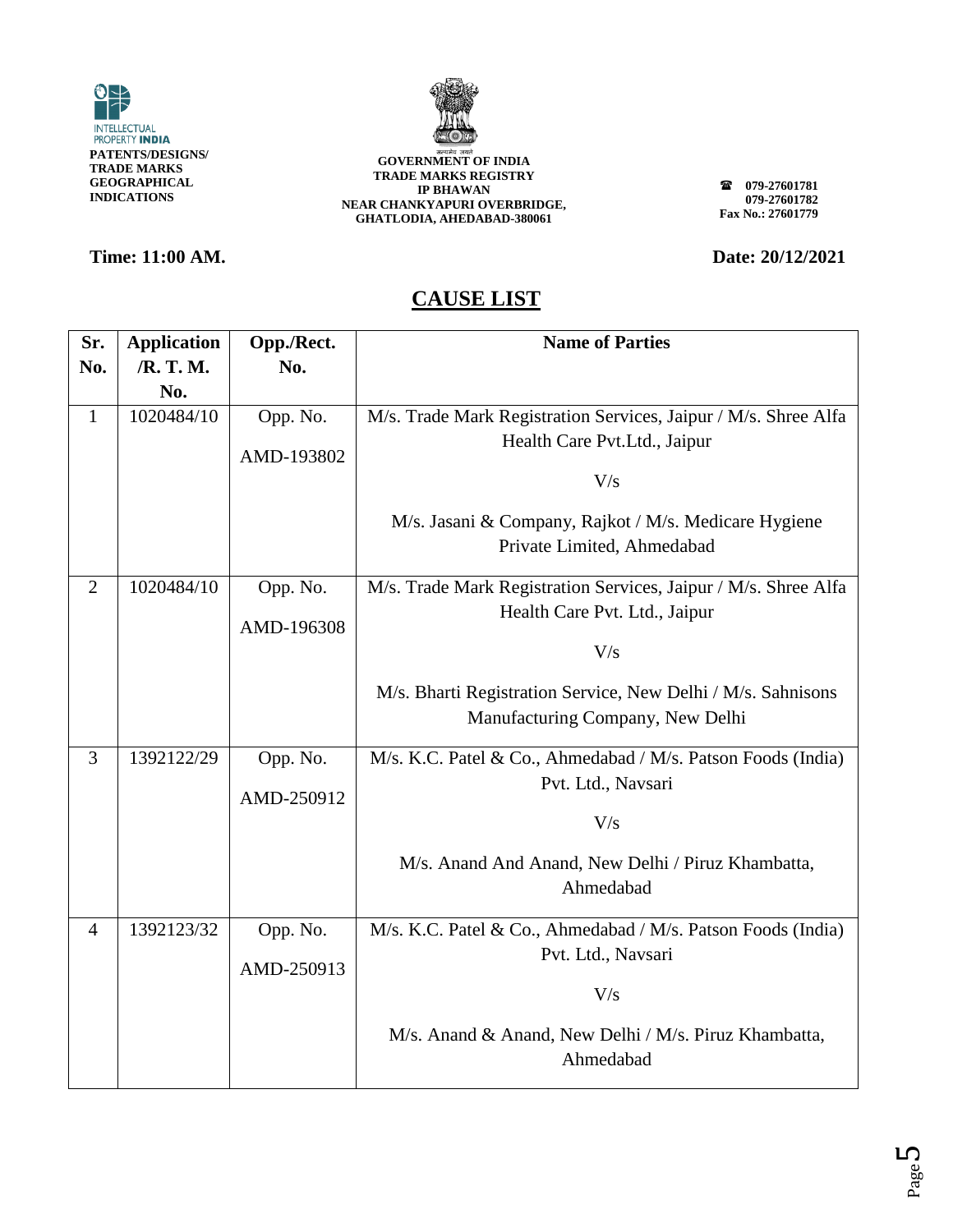



### **Time: 11:00 AM. Date: 20/12/2021**

**079-27601781 079-27601782 Fax No.: 27601779**

| Sr.            | <b>Application</b> | Opp./Rect. | <b>Name of Parties</b>                                          |
|----------------|--------------------|------------|-----------------------------------------------------------------|
| No.            | /R. T. M.          | No.        |                                                                 |
|                | No.                |            |                                                                 |
| $\mathbf{1}$   | 1020484/10         | Opp. No.   | M/s. Trade Mark Registration Services, Jaipur / M/s. Shree Alfa |
|                |                    | AMD-193802 | Health Care Pvt.Ltd., Jaipur                                    |
|                |                    |            | V/s                                                             |
|                |                    |            |                                                                 |
|                |                    |            | M/s. Jasani & Company, Rajkot / M/s. Medicare Hygiene           |
|                |                    |            | Private Limited, Ahmedabad                                      |
| 2              | 1020484/10         | Opp. No.   | M/s. Trade Mark Registration Services, Jaipur / M/s. Shree Alfa |
|                |                    |            | Health Care Pvt. Ltd., Jaipur                                   |
|                |                    | AMD-196308 | V/s                                                             |
|                |                    |            |                                                                 |
|                |                    |            | M/s. Bharti Registration Service, New Delhi / M/s. Sahnisons    |
|                |                    |            | Manufacturing Company, New Delhi                                |
| 3              | 1392122/29         | Opp. No.   | M/s. K.C. Patel & Co., Ahmedabad / M/s. Patson Foods (India)    |
|                |                    |            | Pvt. Ltd., Navsari                                              |
|                |                    | AMD-250912 | V/s                                                             |
|                |                    |            |                                                                 |
|                |                    |            | M/s. Anand And Anand, New Delhi / Piruz Khambatta,              |
|                |                    |            | Ahmedabad                                                       |
| $\overline{4}$ | 1392123/32         | Opp. No.   | M/s. K.C. Patel & Co., Ahmedabad / M/s. Patson Foods (India)    |
|                |                    |            | Pvt. Ltd., Navsari                                              |
|                |                    | AMD-250913 | V/s                                                             |
|                |                    |            |                                                                 |
|                |                    |            | M/s. Anand & Anand, New Delhi / M/s. Piruz Khambatta,           |
|                |                    |            | Ahmedabad                                                       |
|                |                    |            |                                                                 |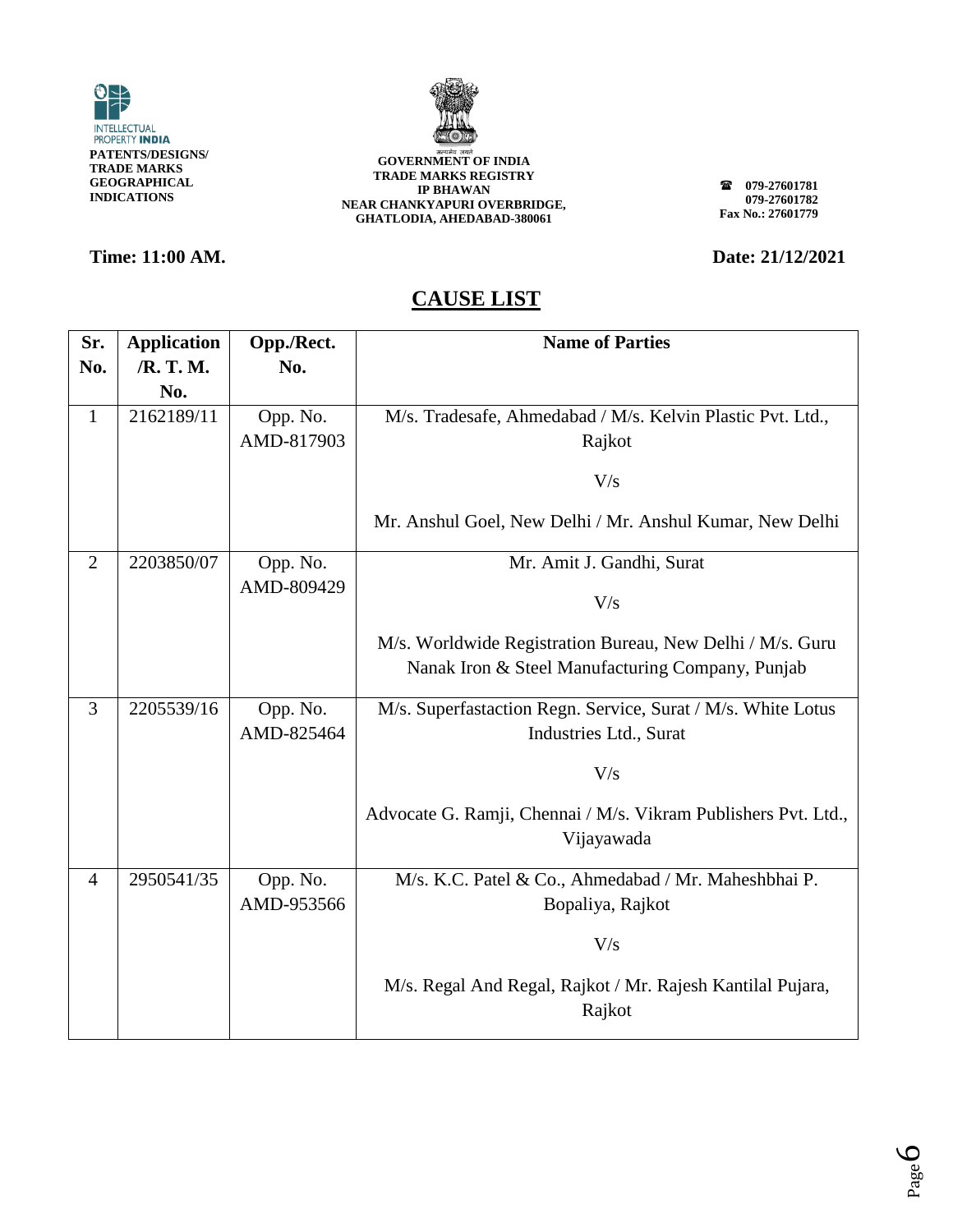



### **Time: 11:00 AM. Date: 21/12/2021**

**079-27601781 079-27601782 Fax No.: 27601779**

| Sr.            | <b>Application</b> | Opp./Rect.             | <b>Name of Parties</b>                                                                                        |
|----------------|--------------------|------------------------|---------------------------------------------------------------------------------------------------------------|
| No.            | /R. T. M.          | No.                    |                                                                                                               |
|                | No.                |                        |                                                                                                               |
| $\mathbf{1}$   | 2162189/11         | Opp. No.               | M/s. Tradesafe, Ahmedabad / M/s. Kelvin Plastic Pvt. Ltd.,                                                    |
|                |                    | AMD-817903             | Rajkot                                                                                                        |
|                |                    |                        |                                                                                                               |
|                |                    |                        | V/s                                                                                                           |
|                |                    |                        | Mr. Anshul Goel, New Delhi / Mr. Anshul Kumar, New Delhi                                                      |
| $\overline{2}$ | 2203850/07         | Opp. No.               | Mr. Amit J. Gandhi, Surat                                                                                     |
|                |                    | AMD-809429             | V/s                                                                                                           |
|                |                    |                        | M/s. Worldwide Registration Bureau, New Delhi / M/s. Guru<br>Nanak Iron & Steel Manufacturing Company, Punjab |
| 3              | 2205539/16         | Opp. No.<br>AMD-825464 | M/s. Superfastaction Regn. Service, Surat / M/s. White Lotus<br>Industries Ltd., Surat                        |
|                |                    |                        | V/s                                                                                                           |
|                |                    |                        | Advocate G. Ramji, Chennai / M/s. Vikram Publishers Pvt. Ltd.,<br>Vijayawada                                  |
| $\overline{4}$ | 2950541/35         | Opp. No.               | M/s. K.C. Patel & Co., Ahmedabad / Mr. Maheshbhai P.                                                          |
|                |                    | AMD-953566             | Bopaliya, Rajkot                                                                                              |
|                |                    |                        | V/s                                                                                                           |
|                |                    |                        | M/s. Regal And Regal, Rajkot / Mr. Rajesh Kantilal Pujara,<br>Rajkot                                          |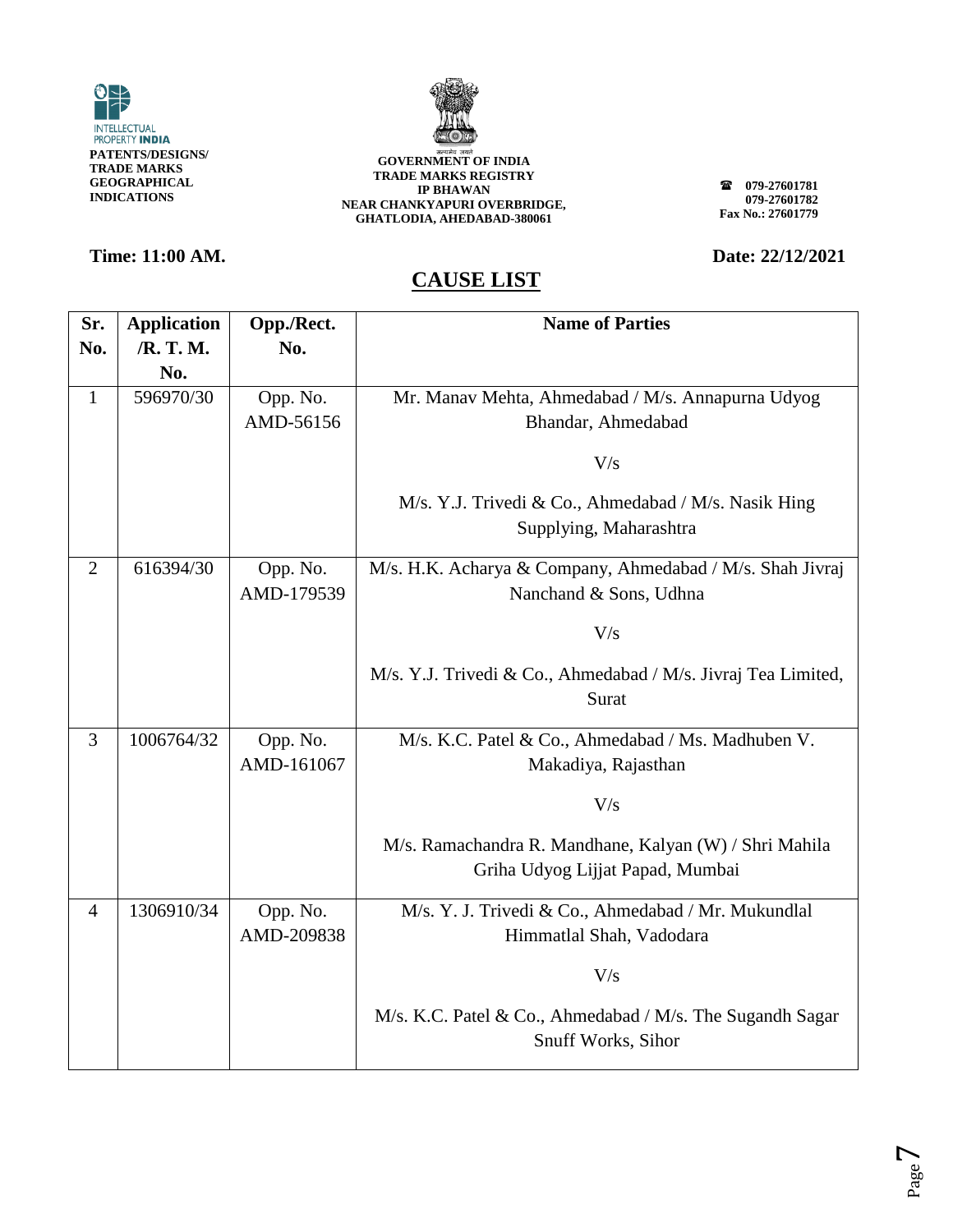



**079-27601781 079-27601782 Fax No.: 27601779**

## **Time: 11:00 AM. Date: 22/12/2021**

| Sr.            | <b>Application</b> | Opp./Rect.             | <b>Name of Parties</b>                                                                     |
|----------------|--------------------|------------------------|--------------------------------------------------------------------------------------------|
| No.            | /R. T. M.          | No.                    |                                                                                            |
|                | No.                |                        |                                                                                            |
| $\mathbf{1}$   | 596970/30          | Opp. No.               | Mr. Manav Mehta, Ahmedabad / M/s. Annapurna Udyog                                          |
|                |                    | AMD-56156              | Bhandar, Ahmedabad                                                                         |
|                |                    |                        | V/s                                                                                        |
|                |                    |                        | M/s. Y.J. Trivedi & Co., Ahmedabad / M/s. Nasik Hing<br>Supplying, Maharashtra             |
| $\overline{2}$ | 616394/30          | Opp. No.<br>AMD-179539 | M/s. H.K. Acharya & Company, Ahmedabad / M/s. Shah Jivraj<br>Nanchand & Sons, Udhna        |
|                |                    |                        | V/s                                                                                        |
|                |                    |                        | M/s. Y.J. Trivedi & Co., Ahmedabad / M/s. Jivraj Tea Limited,<br>Surat                     |
| 3              | 1006764/32         | Opp. No.<br>AMD-161067 | M/s. K.C. Patel & Co., Ahmedabad / Ms. Madhuben V.<br>Makadiya, Rajasthan                  |
|                |                    |                        | V/s                                                                                        |
|                |                    |                        | M/s. Ramachandra R. Mandhane, Kalyan (W) / Shri Mahila<br>Griha Udyog Lijjat Papad, Mumbai |
| $\overline{4}$ | 1306910/34         | Opp. No.<br>AMD-209838 | M/s. Y. J. Trivedi & Co., Ahmedabad / Mr. Mukundlal<br>Himmatlal Shah, Vadodara            |
|                |                    |                        | V/s                                                                                        |
|                |                    |                        | M/s. K.C. Patel & Co., Ahmedabad / M/s. The Sugandh Sagar<br>Snuff Works, Sihor            |